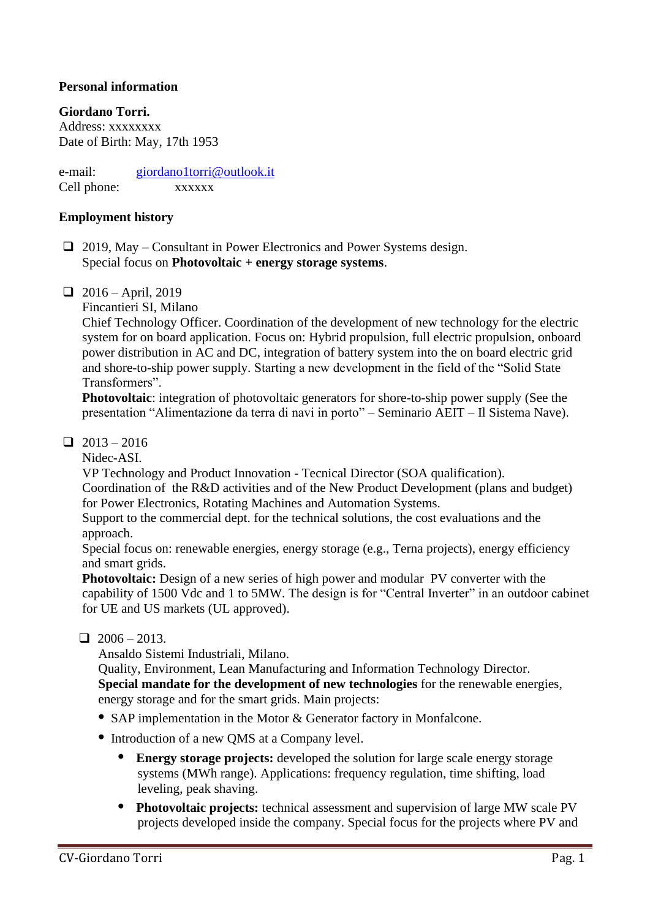## **Personal information**

**Giordano Torri.** 

Address: xxxxxxxx Date of Birth: May, 17th 1953

e-mail: [giordano1torri@outlook.it](mailto:giordano1torri@outlook.it) Cell phone: xxxxxx

#### **Employment history**

- ❑ 2019, May Consultant in Power Electronics and Power Systems design. Special focus on **Photovoltaic + energy storage systems**.
- $\Box$  2016 April, 2019

Fincantieri SI, Milano

Chief Technology Officer. Coordination of the development of new technology for the electric system for on board application. Focus on: Hybrid propulsion, full electric propulsion, onboard power distribution in AC and DC, integration of battery system into the on board electric grid and shore-to-ship power supply. Starting a new development in the field of the "Solid State Transformers".

**Photovoltaic**: integration of photovoltaic generators for shore-to-ship power supply (See the presentation "Alimentazione da terra di navi in porto" – Seminario AEIT – Il Sistema Nave).

#### $\Box$  2013 – 2016

Nidec-ASI.

VP Technology and Product Innovation - Tecnical Director (SOA qualification).

Coordination of the R&D activities and of the New Product Development (plans and budget) for Power Electronics, Rotating Machines and Automation Systems.

Support to the commercial dept. for the technical solutions, the cost evaluations and the approach.

Special focus on: renewable energies, energy storage (e.g., Terna projects), energy efficiency and smart grids.

**Photovoltaic:** Design of a new series of high power and modular PV converter with the capability of 1500 Vdc and 1 to 5MW. The design is for "Central Inverter" in an outdoor cabinet for UE and US markets (UL approved).

 $\Box$  2006 – 2013.

Ansaldo Sistemi Industriali, Milano.

Quality, Environment, Lean Manufacturing and Information Technology Director. **Special mandate for the development of new technologies** for the renewable energies, energy storage and for the smart grids. Main projects:

- **•** SAP implementation in the Motor & Generator factory in Monfalcone.
- **•** Introduction of a new QMS at a Company level.
	- **• Energy storage projects:** developed the solution for large scale energy storage systems (MWh range). Applications: frequency regulation, time shifting, load leveling, peak shaving.
	- **• Photovoltaic projects:** technical assessment and supervision of large MW scale PV projects developed inside the company. Special focus for the projects where PV and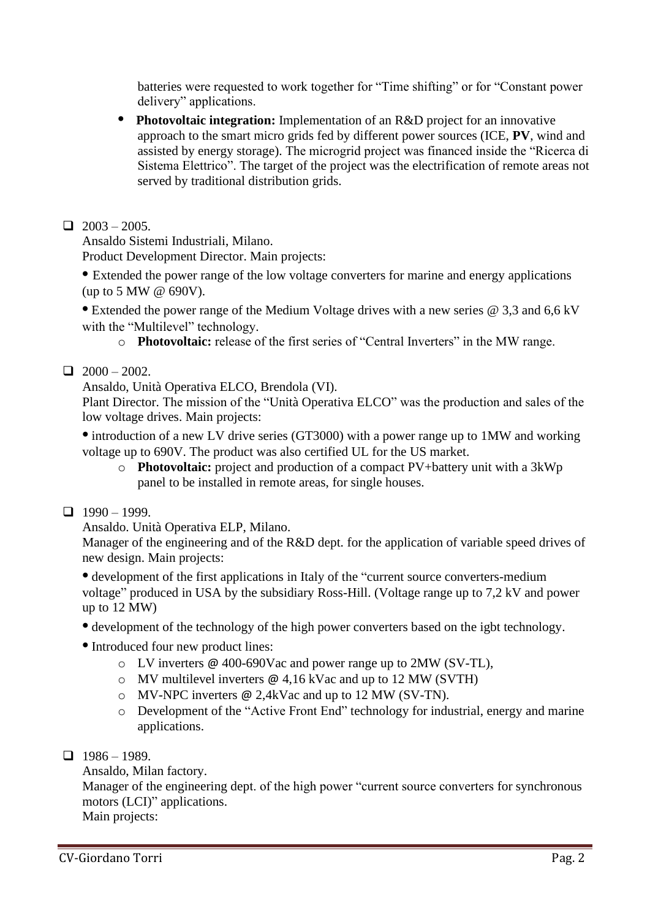batteries were requested to work together for "Time shifting" or for "Constant power delivery" applications.

**• Photovoltaic integration:** Implementation of an R&D project for an innovative approach to the smart micro grids fed by different power sources (ICE, **PV**, wind and assisted by energy storage). The microgrid project was financed inside the "Ricerca di Sistema Elettrico". The target of the project was the electrification of remote areas not served by traditional distribution grids.

# $\Box$  2003 – 2005.

Ansaldo Sistemi Industriali, Milano.

Product Development Director. Main projects:

**•** Extended the power range of the low voltage converters for marine and energy applications (up to 5 MW @ 690V).

**•** Extended the power range of the Medium Voltage drives with a new series @ 3,3 and 6,6 kV with the "Multilevel" technology.

o **Photovoltaic:** release of the first series of "Central Inverters" in the MW range.

## $\Box$  2000 – 2002.

Ansaldo, Unità Operativa ELCO, Brendola (VI).

Plant Director. The mission of the "Unità Operativa ELCO" was the production and sales of the low voltage drives. Main projects:

• introduction of a new LV drive series (GT3000) with a power range up to 1MW and working voltage up to 690V. The product was also certified UL for the US market.

o **Photovoltaic:** project and production of a compact PV+battery unit with a 3kWp panel to be installed in remote areas, for single houses.

## $1990 - 1999$

Ansaldo. Unità Operativa ELP, Milano.

Manager of the engineering and of the R&D dept. for the application of variable speed drives of new design. Main projects:

**•** development of the first applications in Italy of the "current source converters-medium voltage" produced in USA by the subsidiary Ross-Hill. (Voltage range up to 7,2 kV and power up to 12 MW)

- development of the technology of the high power converters based on the igbt technology.
- **•** Introduced four new product lines:
	- o LV inverters @ 400-690Vac and power range up to 2MW (SV-TL),
	- $\circ$  MV multilevel inverters  $\omega$  4.16 kVac and up to 12 MW (SVTH)
	- o MV-NPC inverters @ 2,4kVac and up to 12 MW (SV-TN).
	- o Development of the "Active Front End" technology for industrial, energy and marine applications.
- $\Box$  1986 1989.

Ansaldo, Milan factory.

Manager of the engineering dept. of the high power "current source converters for synchronous motors (LCI)" applications.

Main projects: